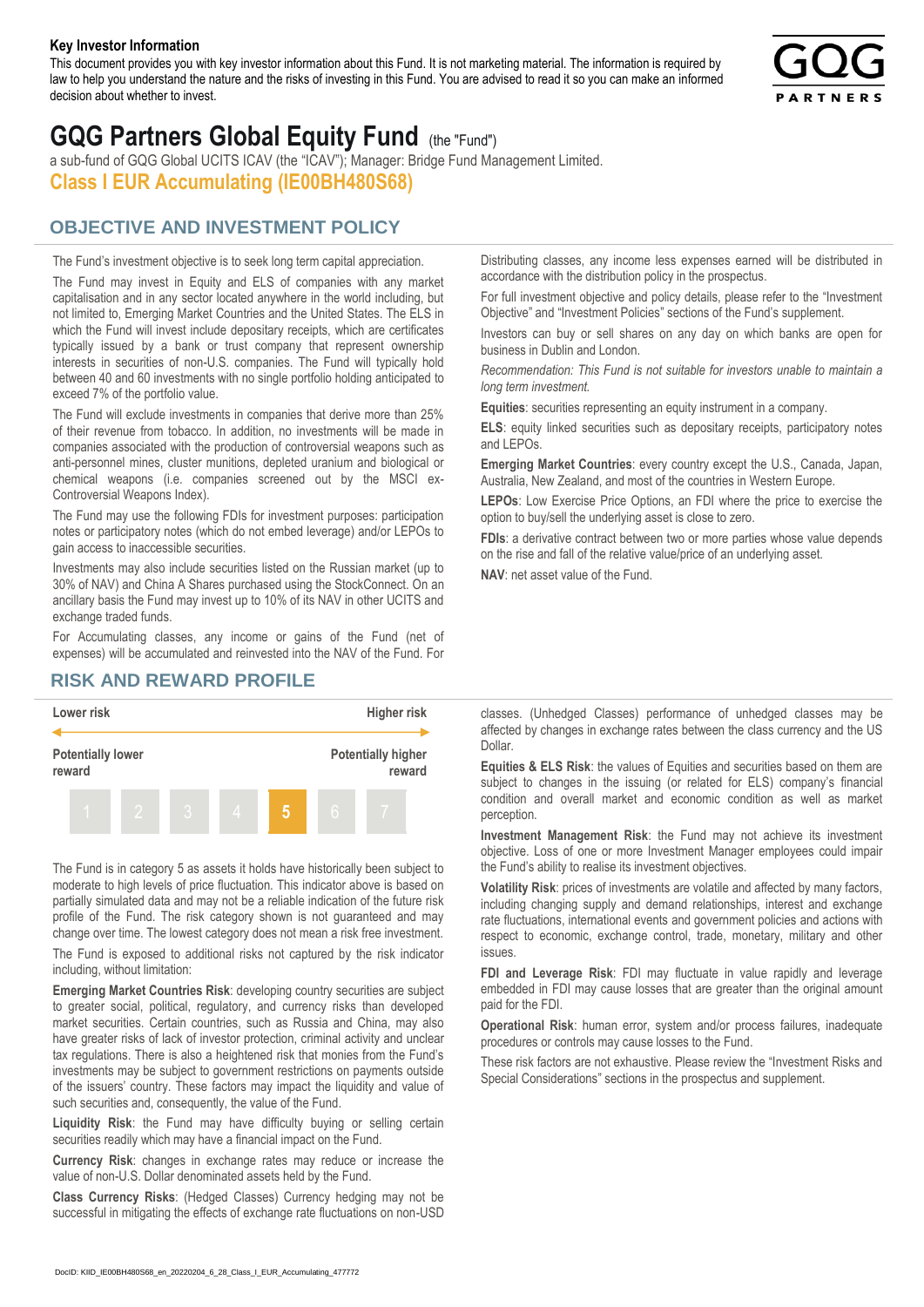#### **Key Investor Information**

This document provides you with key investor information about this Fund. It is not marketing material. The information is required by law to help you understand the nature and the risks of investing in this Fund. You are advised to read it so you can make an informed decision about whether to invest.



# **GQG Partners Global Equity Fund** (the "Fund")

a sub-fund of GQG Global UCITS ICAV (the "ICAV"); Manager: Bridge Fund Management Limited. **Class I EUR Accumulating (IE00BH480S68)**

### **OBJECTIVE AND INVESTMENT POLICY**

The Fund's investment objective is to seek long term capital appreciation. The Fund may invest in Equity and ELS of companies with any market capitalisation and in any sector located anywhere in the world including, but not limited to, Emerging Market Countries and the United States. The ELS in which the Fund will invest include depositary receipts, which are certificates typically issued by a bank or trust company that represent ownership interests in securities of non-U.S. companies. The Fund will typically hold between 40 and 60 investments with no single portfolio holding anticipated to exceed 7% of the portfolio value.

The Fund will exclude investments in companies that derive more than 25% of their revenue from tobacco. In addition, no investments will be made in companies associated with the production of controversial weapons such as anti-personnel mines, cluster munitions, depleted uranium and biological or chemical weapons (i.e. companies screened out by the MSCI ex-Controversial Weapons Index).

The Fund may use the following FDIs for investment purposes: participation notes or participatory notes (which do not embed leverage) and/or LEPOs to gain access to inaccessible securities.

Investments may also include securities listed on the Russian market (up to 30% of NAV) and China A Shares purchased using the StockConnect. On an ancillary basis the Fund may invest up to 10% of its NAV in other UCITS and exchange traded funds.

For Accumulating classes, any income or gains of the Fund (net of expenses) will be accumulated and reinvested into the NAV of the Fund. For Distributing classes, any income less expenses earned will be distributed in accordance with the distribution policy in the prospectus.

For full investment objective and policy details, please refer to the "Investment Objective" and "Investment Policies" sections of the Fund's supplement.

Investors can buy or sell shares on any day on which banks are open for business in Dublin and London.

*Recommendation: This Fund is not suitable for investors unable to maintain a long term investment.*

**Equities**: securities representing an equity instrument in a company.

**ELS**: equity linked securities such as depositary receipts, participatory notes and LEPOs.

**Emerging Market Countries**: every country except the U.S., Canada, Japan, Australia, New Zealand, and most of the countries in Western Europe.

**LEPOs**: Low Exercise Price Options, an FDI where the price to exercise the option to buy/sell the underlying asset is close to zero.

**FDIs**: a derivative contract between two or more parties whose value depends on the rise and fall of the relative value/price of an underlying asset.

**NAV**: net asset value of the Fund.

### **RISK AND REWARD PROFILE**



The Fund is in category 5 as assets it holds have historically been subject to moderate to high levels of price fluctuation. This indicator above is based on partially simulated data and may not be a reliable indication of the future risk profile of the Fund. The risk category shown is not guaranteed and may change over time. The lowest category does not mean a risk free investment.

The Fund is exposed to additional risks not captured by the risk indicator including, without limitation:

**Emerging Market Countries Risk**: developing country securities are subject to greater social, political, regulatory, and currency risks than developed market securities. Certain countries, such as Russia and China, may also have greater risks of lack of investor protection, criminal activity and unclear tax regulations. There is also a heightened risk that monies from the Fund's investments may be subject to government restrictions on payments outside of the issuers' country. These factors may impact the liquidity and value of such securities and, consequently, the value of the Fund.

**Liquidity Risk**: the Fund may have difficulty buying or selling certain securities readily which may have a financial impact on the Fund.

**Currency Risk**: changes in exchange rates may reduce or increase the value of non-U.S. Dollar denominated assets held by the Fund.

**Class Currency Risks**: (Hedged Classes) Currency hedging may not be successful in mitigating the effects of exchange rate fluctuations on non-USD classes. (Unhedged Classes) performance of unhedged classes may be affected by changes in exchange rates between the class currency and the US Dollar.

**Equities & ELS Risk**: the values of Equities and securities based on them are subject to changes in the issuing (or related for ELS) company's financial condition and overall market and economic condition as well as market perception.

**Investment Management Risk**: the Fund may not achieve its investment objective. Loss of one or more Investment Manager employees could impair the Fund's ability to realise its investment objectives.

**Volatility Risk**: prices of investments are volatile and affected by many factors, including changing supply and demand relationships, interest and exchange rate fluctuations, international events and government policies and actions with respect to economic, exchange control, trade, monetary, military and other issues.

**FDI and Leverage Risk**: FDI may fluctuate in value rapidly and leverage embedded in FDI may cause losses that are greater than the original amount paid for the FDI.

**Operational Risk**: human error, system and/or process failures, inadequate procedures or controls may cause losses to the Fund.

These risk factors are not exhaustive. Please review the "Investment Risks and Special Considerations" sections in the prospectus and supplement.